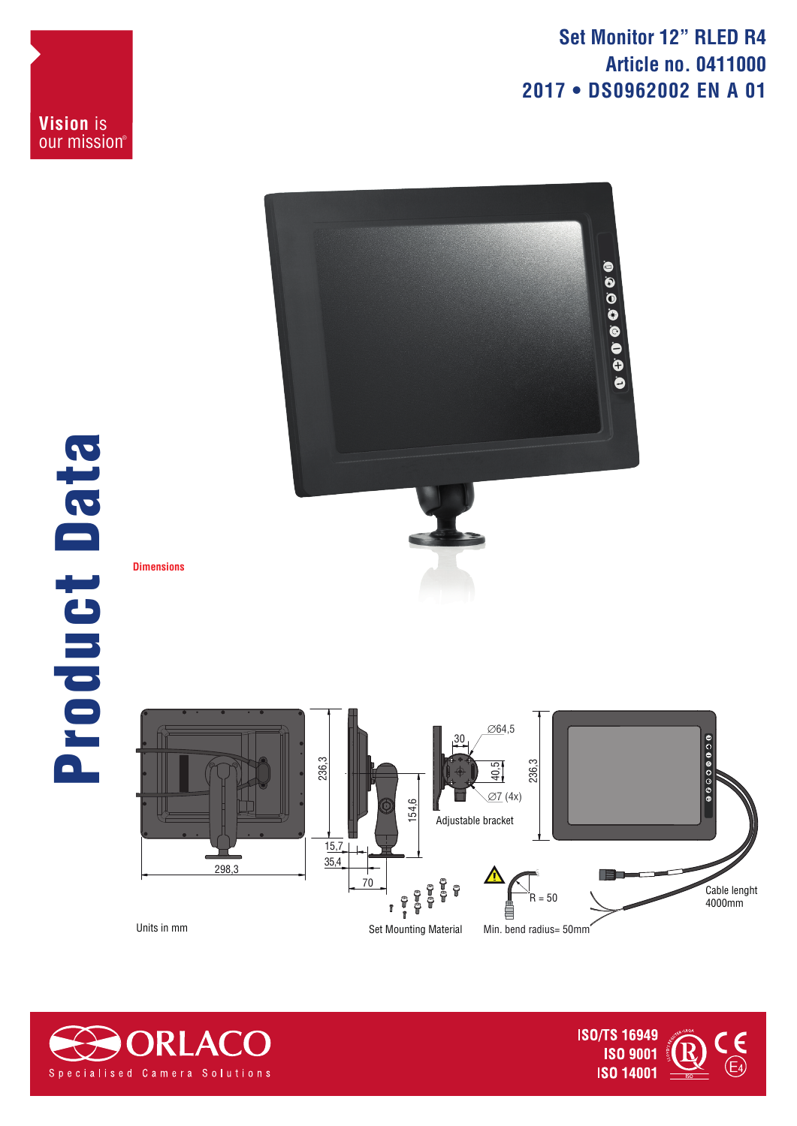**Set Monitor 12" RLED R4 Article no. 0411000 2017 • DS0962002 EN A 01**

00000000



**Vision** is our mission®